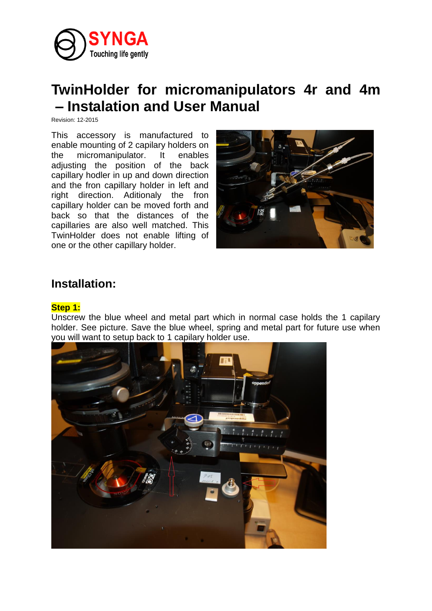

# **TwinHolder for micromanipulators 4r and 4m – Instalation and User Manual**

Revision: 12-2015

This accessory is manufactured to enable mounting of 2 capilary holders on the micromanipulator. It enables adjusting the position of the back capillary hodler in up and down direction and the fron capillary holder in left and right direction. Aditionaly the fron capillary holder can be moved forth and back so that the distances of the capillaries are also well matched. This TwinHolder does not enable lifting of one or the other capillary holder.



## **Installation:**

#### **Step 1:**

Unscrew the blue wheel and metal part which in normal case holds the 1 capilary holder. See picture. Save the blue wheel, spring and metal part for future use when you will want to setup back to 1 capilary holder use.

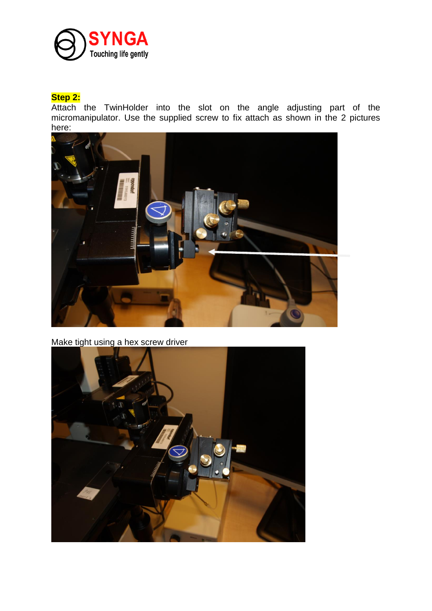

### **Step 2:**

Attach the TwinHolder into the slot on the angle adjusting part of the micromanipulator. Use the supplied screw to fix attach as shown in the 2 pictures here:



Make tight using a hex screw driver

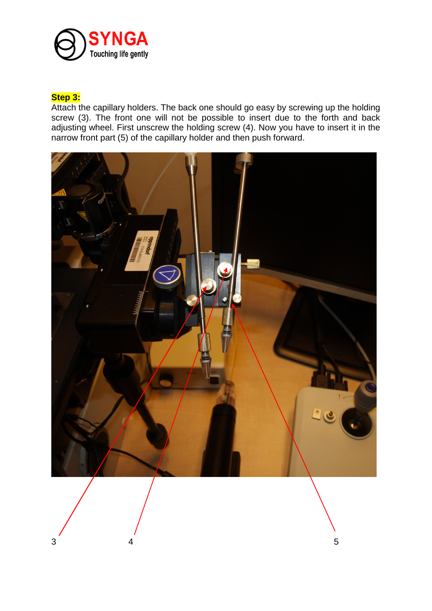

#### **Step 3:**

Attach the capillary holders. The back one should go easy by screwing up the holding screw (3). The front one will not be possible to insert due to the forth and back adjusting wheel. First unscrew the holding screw (4). Now you have to insert it in the narrow front part (5) of the capillary holder and then push forward.

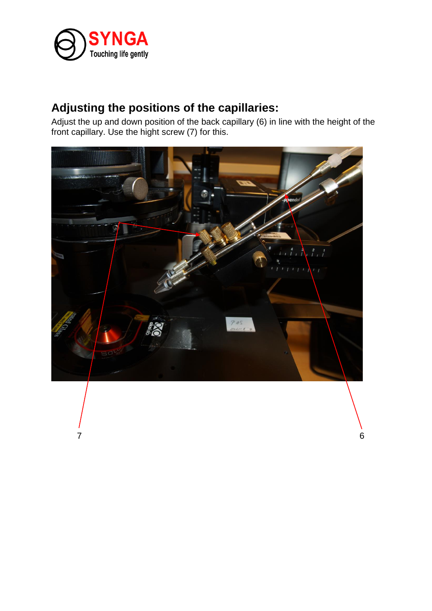

## **Adjusting the positions of the capillaries:**

Adjust the up and down position of the back capillary (6) in line with the height of the front capillary. Use the hight screw (7) for this.



 $7$  6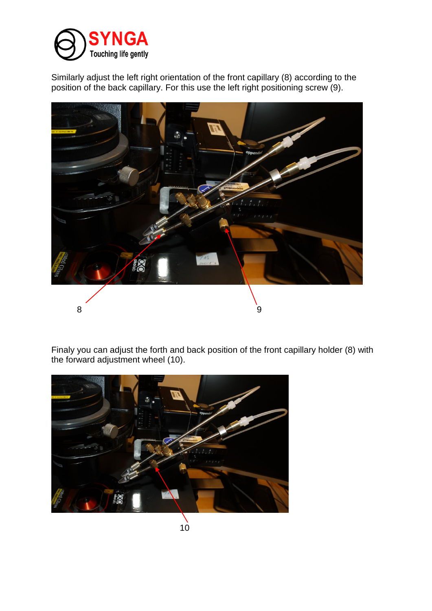

Similarly adjust the left right orientation of the front capillary (8) according to the position of the back capillary. For this use the left right positioning screw (9).



Finaly you can adjust the forth and back position of the front capillary holder (8) with the forward adjustment wheel (10).